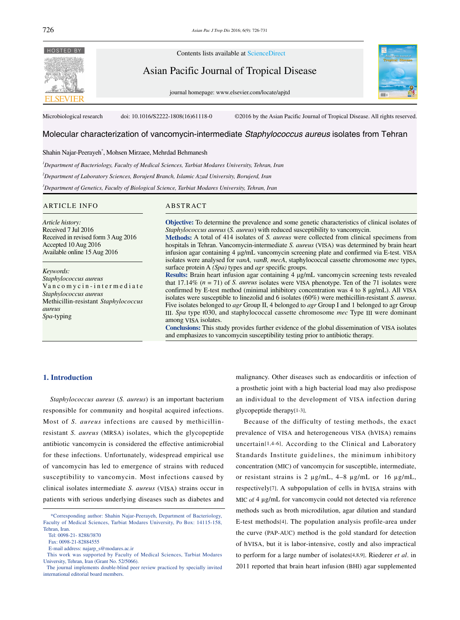

Microbiological research doi: 10.1016/S2222-1808(16)61118-0 ©2016 by the Asian Pacific Journal of Tropical Disease. All rights reserved.

# Molecular characterization of vancomycin-intermediate *Staphylococcus aureus* isolates from Tehran

# Shahin Najar-Peerayeh\* , Mohsen Mirzaee, Mehrdad Behmanesh

*1 Department of Bacteriology, Faculty of Medical Sciences, Tarbiat Modares University, Tehran, Iran*

*2 Department of Laboratory Sciences, Borujerd Branch, Islamic Azad University, Borujerd, Iran*

*3 Department of Genetics, Faculty of Biological Science, Tarbiat Modares University, Tehran, Iran*

#### ARTICLE INFO ABSTRACT

*Article history:* Received 7 Jul 2016 Received in revised form 3 Aug 2016 Accepted 10 Aug 2016 Available online 15 Aug 2016

*Keywords: Staphylococcus aureus* Va n c o m y c i n - i n t e r m e d i a t e *Staphylococcus aureus* Methicillin-resistant *Staphylococcus aureus Spa*-typing

**Objective:** To determine the prevalence and some genetic characteristics of clinical isolates of *Staphylococcus aureus* (*S. aureus*) with reduced susceptibility to vancomycin.

**Methods:** A total of 414 isolates of *S. aureus* were collected from clinical specimens from hospitals in Tehran. Vancomycin-intermediate *S. aureus* (VISA) was determined by brain heart infusion agar containing 4 μg/mL vancomycin screening plate and confirmed via E-test. VISA isolates were analysed for *vanA, vanB, mecA*, staphylococcal cassette chromosome *mec* types, surface protein A *(Spa)* types and *agr* specific groups.

**Results:** Brain heart infusion agar containing 4 μg/mL vancomycin screening tests revealed that 17.14% (*n* = 71) of *S. aureus* isolates were VISA phenotype. Ten of the 71 isolates were confirmed by E-test method (minimal inhibitory concentration was 4 to 8 μg/mL). All VISA isolates were susceptible to linezolid and 6 isolates (60%) were methicillin-resistant *S. aureus*. Five isolates belonged to *agr* Group II, 4 belonged to *agr* Group I and 1 belonged to agr Group III. *Spa* type t030, and staphylococcal cassette chromosome *mec* Type III were dominant among VISA isolates.

**Conclusions:** This study provides further evidence of the global dissemination of VISA isolates and emphasizes to vancomycin susceptibility testing prior to antibiotic therapy.

## **1. Introduction**

 *Staphylococcus aureus* (*S. aureus*) is an important bacterium responsible for community and hospital acquired infections. Most of *S. aureus* infections are caused by methicillinresistant *S. aureus* (MRSA) isolates, which the glycopeptide antibiotic vancomycin is considered the effective antimicrobial for these infections. Unfortunately, widespread empirical use of vancomycin has led to emergence of strains with reduced susceptibility to vancomycin. Most infections caused by clinical isolates intermediate *S. aureus* (VISA) strains occur in patients with serious underlying diseases such as diabetes and

malignancy. Other diseases such as endocarditis or infection of a prosthetic joint with a high bacterial load may also predispose an individual to the development of VISA infection during glycopeptide therapy[1-3].

 Because of the difficulty of testing methods, the exact prevalence of VISA and heterogeneous VISA (hVISA) remains uncertain[1,4-6]. According to the Clinical and Laboratory Standards Institute guidelines, the minimum inhibitory concentration (MIC) of vancomycin for susceptible, intermediate, or resistant strains is 2  $\mu$ g/mL, 4–8  $\mu$ g/mL or 16  $\mu$ g/mL, respectively[7]. A subpopulation of cells in hVISA strains with MIC of 4  $\mu$ g/mL for vancomycin could not detected via reference methods such as broth microdilution, agar dilution and standard E-test methods[4]. The population analysis profile-area under the curve (PAP-AUC) method is the gold standard for detection of hVISA, but it is labor-intensive, costly and also impractical to perform for a large number of isolates[4,8,9]. Riederer *et al*. in 2011 reported that brain heart infusion (BHI) agar supplemented

 <sup>\*</sup>Corresponding author: Shahin Najar-Peerayeh, Department of Bacteriology, Faculty of Medical Sciences, Tarbiat Modares University, Po Box: 14115-158, Tehran, Iran.

Tel: 0098-21- 8288/3870

Fax: 0098-21-82884555

E-mail address: najarp\_s@modares.ac.ir

This work was supported by Faculty of Medical Sciences, Tarbiat Modares University, Tehran, Iran (Grant No. 52/5066).

The journal implements double-blind peer review practiced by specially invited international editorial board members.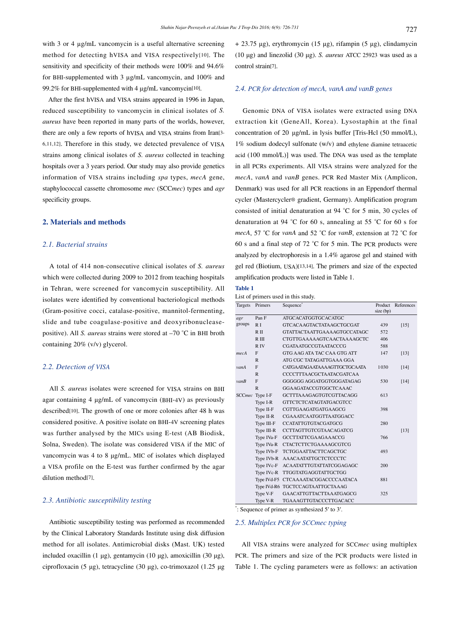with 3 or 4  $\mu$ g/mL vancomycin is a useful alternative screening method for detecting hVISA and VISA respectively[10]. The sensitivity and specificity of their methods were 100% and 94.6% for BHI-supplemented with 3 µg/mL vancomycin, and 100% and 99.2% for BHI-supplemented with 4 µg/mL vancomycin[10].

 After the first hVISA and VISA strains appeared in 1996 in Japan, reduced susceptibility to vancomycin in clinical isolates of *S. aureus* have been reported in many parts of the worlds, however, there are only a few reports of hVISA and VISA strains from Iran[3- 6,11,12]. Therefore in this study, we detected prevalence of VISA strains among clinical isolates of *S. aureus* collected in teaching hospitals over a 3 years period. Our study may also provide genetics information of VISA strains including *spa* types, *mecA* gene, staphylococcal cassette chromosome *mec* (SCC*mec*) types and *agr* specificity groups.

## **2. Materials and methods**

## *2.1. Bacterial strains*

 A total of 414 non-consecutive clinical isolates of *S. aureus* which were collected during 2009 to 2012 from teaching hospitals in Tehran, were screened for vancomycin susceptibility. All isolates were identified by conventional bacteriological methods (Gram-positive cocci, catalase-positive, mannitol-fermenting, slide and tube coagulase-positive and deoxyribonucleasepositive). All *S. aureus* strains were stored at –70 °C in BHI broth containing 20% (v/v) glycerol.

#### *2.2. Detection of VISA*

 All *S. aureus* isolates were screened for VISA strains on BHI agar containing 4 μg/mL of vancomycin (BHI-4V) as previously described[10]. The growth of one or more colonies after 48 h was considered positive. A positive isolate on BHI-4V screening plates was further analysed by the MICs using E-test (AB Biodisk, Solna, Sweden). The isolate was considered VISA if the MIC of vancomycin was 4 to 8 μg/mL. MIC of isolates which displayed a VISA profile on the E-test was further confirmed by the agar dilution method[7].

## *2.3. Antibiotic susceptibility testing*

 Antibiotic susceptibility testing was performed as recommended by the Clinical Laboratory Standards Institute using disk diffusion method for all isolates. Antimicrobial disks (Mast. UK) tested included oxacillin (1 μg), gentamycin (10 μg), amoxicillin (30 μg), ciprofloxacin (5 μg), tetracycline (30 μg), co-trimoxazol (1.25 μg + 23.75 μg), erythromycin (15 μg), rifampin (5 μg), clindamycin (10 μg) and linezolid (30 μg). *S. aureus* ATCC 25923 was used as a control strain[7].

#### *2.4. PCR for detection of mecA, vanA and vanB genes*

 Genomic DNA of VISA isolates were extracted using DNA extraction kit (GeneAll, Korea). Lysostaphin at the final concentration of 20 μg/mL in lysis buffer [Tris-Hcl (50 mmol/L), 1% sodium dodecyl sulfonate (w/v) and ethylene diamine tetraacetic acid (100 mmol/L)] was used. The DNA was used as the template in all PCRs experiments. All VISA strains were analyzed for the *mecA*, *vanA* and *vanB* genes. PCR Red Master Mix (Amplicon, Denmark) was used for all PCR reactions in an Eppendorf thermal cycler (Mastercycler® gradient, Germany). Amplification program consisted of initial denaturation at 94 °C for 5 min, 30 cycles of denaturation at 94 °C for 60 s, annealing at 55 °C for 60 s for *mecA*, 57 °C for *vanA* and 52 °C for *vanB*, extension at 72 °C for 60 s and a final step of 72 °C for 5 min. The PCR products were analyzed by electrophoresis in a 1.4% agarose gel and stained with gel red (Biotium, USA)[13,14]. The primers and size of the expected amplification products were listed in Table 1.

## **Table 1**

List of primers used in this study.

| Targets | Primers         | Sequence <sup>*</sup>               | size (bp) | Product References |
|---------|-----------------|-------------------------------------|-----------|--------------------|
| agr     | Pan F           | <b>ATGCACATGGTGCACATGC</b>          |           |                    |
| groups  | R <sub>I</sub>  | GTCACA AGTACTATA AGCTGCGAT          | 439       | $[15]$             |
|         | $R$ II          | <b>GTATTACTAATTGAAAAGTGCCATAGC</b>  | 572       |                    |
|         | R III           | CTGTTGAAAAAGTCAACTAAAAGCTC          | 406       |                    |
|         | R IV            | CGATAATGCCGTAATACCCG                | 588       |                    |
| mecA    | F               | GTG AAG ATA TAC CAA GTG ATT         | 147       | $[13]$             |
|         | $\mathsf{R}$    | ATG CGC TATAGATTGAAA GGA            |           |                    |
| vanA    | F               | CATGAATAGAATAAAAGTTGCTGCAATA        | 1030      | $[14]$             |
|         | $\mathbb{R}$    | CCCCTTTA ACGCTA ATACGATCA A         |           |                    |
| vanB    | F               | GGGGGG AGGATGGTGGGATAGAG            | 530       | [14]               |
|         | $\mathbb{R}$    | <b>GGA AGATACCGTGGCTCA A AC</b>     |           |                    |
|         | SCCmec Type I-F | <b>GCTTTAAAGAGTGTCGTTACAGG</b>      | 613       |                    |
|         | Type I-R        | <b>GTTCTCTCATAGTATGACGTCC</b>       |           |                    |
|         | Type II-F       | CGTTGAAGATGATGAAGCG                 | 398       |                    |
|         | Type II-R       | CGAAATCAATGGTTAATGGACC              |           |                    |
|         | $Type III-F$    | <b>CCATATTGTGTACGATGCG</b>          | 280       |                    |
|         | Type III-R      | <b>CCTTAGTTGTCGTAACAGATCG</b>       |           | $[13]$             |
|         | Type IVa-F      | <b>GCCTTATTCGAAGAAACCG</b>          | 766       |                    |
|         | Type IVa-R      | <b>CTACTCTTCTGAAAAGCGTCG</b>        |           |                    |
|         | Type IVb-F      | <b>TCTGGAATTACTTCAGCTGC</b>         | 493       |                    |
|         |                 | Type IVb-R AAACAATATTGCTCTCCCTC     |           |                    |
|         | Type IVc-F      | ACAATATTTGTATTATCGGAGAGC            | 200       |                    |
|         | Type IVc-R      | TTGGTATGAGGTATTGCTGG                |           |                    |
|         |                 | Type IVd-F5 CTCAAAATACGGACCCCAATACA | 881       |                    |
|         |                 | Type IVd-R6 TGCTCCAGTAATTGCTAAAG    |           |                    |
|         | Type V-F        | <b>GAACATTGTTACTTAAATGAGCG</b>      | 325       |                    |
|         | Type V-R        | TGAAAGTTGTACCCTTGACACC              |           |                    |

\* : Sequence of primer as synthesized 5′ to 3′.

#### *2.5. Multiplex PCR for SCCmec typing*

 All VISA strains were analyzed for SCC*mec* using multiplex PCR. The primers and size of the PCR products were listed in Table 1. The cycling parameters were as follows: an activation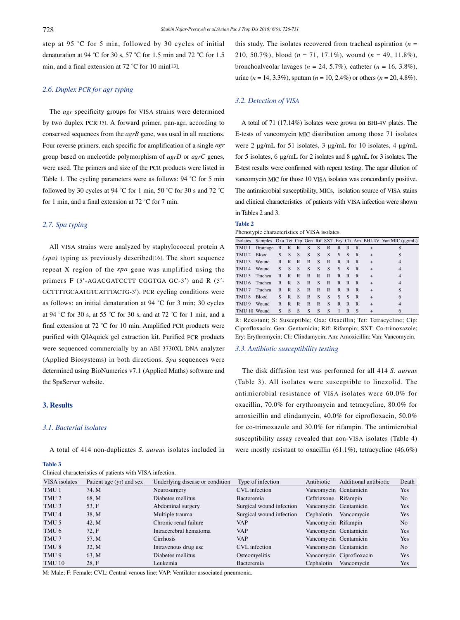step at 95 °C for 5 min, followed by 30 cycles of initial denaturation at 94 °C for 30 s, 57 °C for 1.5 min and 72 °C for 1.5 min, and a final extension at 72 °C for 10 min[13].

## *2.6. Duplex PCR for agr typing*

 The *agr* specificity groups for VISA strains were determined by two duplex PCR[15]. A forward primer, pan-agr, according to conserved sequences from the *agrB* gene, was used in all reactions. Four reverse primers, each specific for amplification of a single *agr* group based on nucleotide polymorphism of *agrD* or *agrC* genes, were used. The primers and size of the PCR products were listed in Table 1. The cycling parameters were as follows: 94 °C for 5 min followed by 30 cycles at 94 °C for 1 min, 50 °C for 30 s and 72 °C for 1 min, and a final extension at 72 °C for 7 min.

#### *2.7. Spa typing*

 All VISA strains were analyzed by staphylococcal protein A *(spa)* typing as previously described[16]. The short sequence repeat X region of the *spa* gene was amplified using the primers F (5'-AGACGATCCTT CGGTGA GC-3') and R (5'-GCTTTTGCAATGTCATTTACTG-3′). PCR cycling conditions were as follows: an initial denaturation at 94 °C for 3 min; 30 cycles at 94 °C for 30 s, at 55 °C for 30 s, and at 72 °C for 1 min, and a final extension at 72 °C for 10 min. Amplified PCR products were purified with QIAquick gel extraction kit. Purified PCR products were sequenced commercially by an ABI 3730XL DNA analyzer (Applied Biosystems) in both directions. *Spa* sequences were determined using BioNumerics v7.1 (Applied Maths) software and the SpaServer website.

## **3. Results**

## *3.1. Bacterial isolates*

A total of 414 non-duplicates *S. aureus* isolates included in

#### **Table 3**

Clinical characteristics of patients with VISA infection.

this study. The isolates recovered from tracheal aspiration  $(n =$ 210, 50.7%), blood (*n* = 71, 17.1%), wound (*n* = 49, 11.8%), bronchoalveolar lavages ( $n = 24, 5.7\%$ ), catheter ( $n = 16, 3.8\%$ ), urine ( $n = 14, 3.3\%$ ), sputum ( $n = 10, 2.4\%$ ) or others ( $n = 20, 4.8\%$ ).

## *3.2. Detection of VISA*

 A total of 71 (17.14%) isolates were grown on BHI-4V plates. The E-tests of vancomycin MIC distribution among those 71 isolates were 2 μg/mL for 51 isolates, 3 μg/mL for 10 isolates, 4 μg/mL for 5 isolates, 6 μg/mL for 2 isolates and 8 μg/mL for 3 isolates. The E-test results were confirmed with repeat testing. The agar dilution of vancomycin MIC for those 10 VISA isolates was concordantly positive. The antimicrobial susceptibility, MICs, isolation source of VISA stains and clinical characteristics of patients with VISA infection were shown in Tables 2 and 3.

## **Table 2**

Phenotypic characteristics of VISA isolates.

|                  |              |                |              |              |              |              |              |   |   |   |           | Isolates Samples Oxa Tet Cip Gen Rif SXT Ery Cli Am BHI-4V Van MIC (µg/mL) |
|------------------|--------------|----------------|--------------|--------------|--------------|--------------|--------------|---|---|---|-----------|----------------------------------------------------------------------------|
| TMU 1            | Drainage     | $\overline{R}$ | $\mathbb{R}$ | $\mathbb{R}$ | S            | S            | $\mathbb{R}$ | R | R | R | $^{+}$    |                                                                            |
| TMU <sub>2</sub> | <b>Blood</b> | S              | S            | S            | S            | S            | S            | S | S | R | $\ddot{}$ | 8                                                                          |
| TMU <sub>3</sub> | Wound        | R              | R            | R            | R            | S            | R            | R | R | R | $\ddot{}$ | $\overline{4}$                                                             |
| TMU <sub>4</sub> | Wound        | S              | S            | S            | S            | S            | S            | S | S | R | $\ddot{}$ | 4                                                                          |
| TMU <sub>5</sub> | Trachea      | R              | R            | R            | R            | $\mathbb{R}$ | R            | R | R | R | $\ddot{}$ | $\overline{4}$                                                             |
| TMU 6            | Trachea      | R              | R            | S            | $\mathbb{R}$ | S            | R            | R | R | R | $^{+}$    | 4                                                                          |
| TMU <sub>7</sub> | Trachea      | R              | $\mathbb{R}$ | S            | $\mathbb{R}$ | $\mathbb{R}$ | R            | R | R | R | $+$       | 8                                                                          |
| TMU <sub>8</sub> | <b>Blood</b> | S              | $\mathbb{R}$ | S            | R            | S            | S            | S | S | R | $\ddot{}$ | 6                                                                          |
| TMU 9            | Wound        | R              | R            | $\mathbb{R}$ | R            | R            | S            | R | R | R | $^{+}$    | 4                                                                          |
| TMU 10 Wound     |              | S              | S            | S            | S            | S            | S            | I | R | S | $^{+}$    | 6                                                                          |

R: Resistant; S: Susceptible; Oxa: Oxacillin; Tet: Tetracycline; Cip: Ciprofloxacin; Gen: Gentamicin; Rif: Rifampin; SXT: Co-trimoxazole; Ery: Erythromycin; Cli: Clindamycin; Am: Amoxicillin; Van: Vancomycin.

#### *3.3. Antibiotic susceptibility testing*

 The disk diffusion test was performed for all 414 *S. aureus* (Table 3). All isolates were susceptible to linezolid. The antimicrobial resistance of VISA isolates were 60.0% for oxacillin, 70.0% for erythromycin and tetracycline, 80.0% for amoxicillin and clindamycin, 40.0% for ciprofloxacin, 50.0% for co-trimoxazole and 30.0% for rifampin. The antimicrobial susceptibility assay revealed that non-VISA isolates (Table 4) were mostly resistant to oxacillin (61.1%), tetracycline (46.6%)

| VISA isolates    | Patient age (yr) and sex | Underlying disease or condition | Type of infection        | Antibiotic            | Additional antibiotic    | Death          |
|------------------|--------------------------|---------------------------------|--------------------------|-----------------------|--------------------------|----------------|
| TMU 1            | 74. M                    | Neurosurgery                    | <b>CVL</b> infection     | Vancomycin Gentamicin |                          | <b>Yes</b>     |
| TMU <sub>2</sub> | 68. M                    | Diabetes mellitus               | Bacteremia               | Ceftriaxone Rifampin  |                          | N <sub>o</sub> |
| TMU <sub>3</sub> | 53, F                    | Abdominal surgery               | Surgical wound infection | Vancomycin Gentamicin |                          | Yes            |
| TMU 4            | 38. M                    | Multiple trauma                 | Surgical wound infection | Cephalotin            | Vancomycin               | <b>Yes</b>     |
| TMU 5            | 42. M                    | Chronic renal failure           | VAP                      | Vancomycin Rifampin   |                          | N <sub>o</sub> |
| TMU 6            | 72. F                    | Intracerebral hematoma          | <b>VAP</b>               | Vancomycin Gentamicin |                          | Yes            |
| TMU 7            | 57. M                    | <b>Cirrhosis</b>                | VAP                      | Vancomycin Gentamicin |                          | <b>Yes</b>     |
| TMU <sub>8</sub> | 32. M                    | Intravenous drug use            | CVL infection            | Vancomycin Gentamicin |                          | N <sub>o</sub> |
| TMU 9            | 63. M                    | Diabetes mellitus               | Osteomyelitis            |                       | Vancomycin Ciprofloxacin | <b>Yes</b>     |
| <b>TMU 10</b>    | 28. F                    | Leukemia                        | Bacteremia               | Cephalotin            | Vancomycin               | Yes            |

M: Male; F: Female; CVL: Central venous line; VAP: Ventilator associated pneumonia.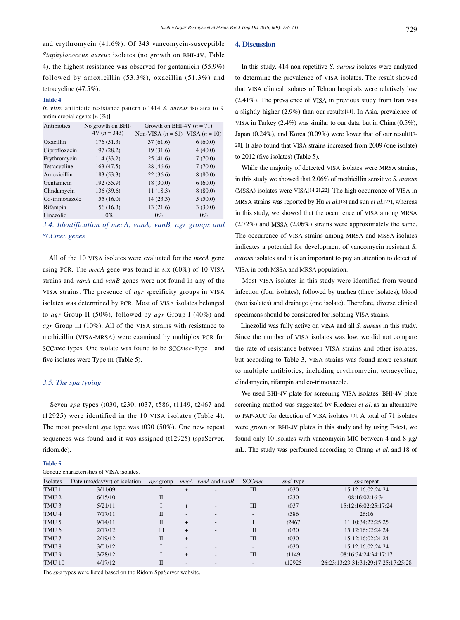and erythromycin (41.6%). Of 343 vancomycin-susceptible *Staphylococcus aureus* isolates (no growth on BHI-4V, Table 4), the highest resistance was observed for gentamicin (55.9%) followed by amoxicillin (53.3%), oxacillin (51.3%) and tetracycline (47.5%).

#### **Table 4**

*In vitro* antibiotic resistance pattern of 414 *S. aureus* isolates to 9 antimicrobial agents [*n* (%)].

| Antibiotics    | No growth on BHI- | Growth on BHI-4V $(n = 71)$         |         |  |  |  |
|----------------|-------------------|-------------------------------------|---------|--|--|--|
|                | $4V (n = 343)$    | Non-VISA $(n = 61)$ VISA $(n = 10)$ |         |  |  |  |
| Oxacillin      | 176(51.3)         | 37(61.6)                            | 6(60.0) |  |  |  |
| Ciprofloxacin  | 97(28.2)          | 19(31.6)                            | 4(40.0) |  |  |  |
| Erythromycin   | 114 (33.2)        | 25(41.6)                            | 7(70.0) |  |  |  |
| Tetracycline   | 163(47.5)         | 28(46.6)                            | 7(70.0) |  |  |  |
| Amoxicillin    | 183 (53.3)        | 22(36.6)                            | 8(80.0) |  |  |  |
| Gentamicin     | 192 (55.9)        | 18(30.0)                            | 6(60.0) |  |  |  |
| Clindamycin    | 136(39.6)         | 11(18.3)                            | 8(80.0) |  |  |  |
| Co-trimoxazole | 55(16.0)          | 14(23.3)                            | 5(50.0) |  |  |  |
| Rifampin       | 56(16.3)          | 13(21.6)                            | 3(30.0) |  |  |  |
| Linezolid      | $0\%$             | $0\%$                               | $0\%$   |  |  |  |
|                |                   |                                     |         |  |  |  |

*3.4. Identification of mecA, vanA, vanB, agr groups and SCCmec genes* 

 All of the 10 VISA isolates were evaluated for the *mecA* gene using PCR. The *mecA* gene was found in six (60%) of 10 VISA strains and *vanA* and *vanB* genes were not found in any of the VISA strains. The presence of *agr* specificity groups in VISA isolates was determined by PCR. Most of VISA isolates belonged to *agr* Group II (50%), followed by *agr* Group I (40%) and *agr* Group III (10%). All of the VISA strains with resistance to methicillin (VISA-MRSA) were examined by multiplex PCR for SCC*mec* types. One isolate was found to be SCC*mec*-Type I and five isolates were Type III (Table 5).

# *3.5. The spa typing*

 Seven *spa* types (t030, t230, t037, t586, t1149, t2467 and t12925) were identified in the 10 VISA isolates (Table 4). The most prevalent *spa* type was t030 (50%). One new repeat sequences was found and it was assigned (t12925) (spaServer. ridom.de).

## **Table 5**

| Genetic characteristics of VISA isolates. |  |  |
|-------------------------------------------|--|--|
|                                           |  |  |

#### **4. Discussion**

 In this study, 414 non-repetitive *S. aurous* isolates were analyzed to determine the prevalence of VISA isolates. The result showed that VISA clinical isolates of Tehran hospitals were relatively low (2.41%). The prevalence of VISA in previous study from Iran was a slightly higher (2.9%) than our results[11]. In Asia, prevalence of VISA in Turkey (2.4%) was similar to our data, but in China (0.5%), Japan (0.24%), and Korea (0.09%) were lower that of our result[17- 20]. It also found that VISA strains increased from 2009 (one isolate) to 2012 (five isolates) (Table 5).

 While the majority of detected VISA isolates were MRSA strains, in this study we showed that 2.06% of methicillin sensitive *S. aureus* (MSSA) isolates were VISA[14,21,22]. The high occurrence of VISA in MRSA strains was reported by Hu *et al*.[18] and sun *et al*.[23], whereas in this study, we showed that the occurrence of VISA among MRSA (2.72%) and MSSA (2.06%) strains were approximately the same. The occurrence of VISA strains among MRSA and MSSA isolates indicates a potential for development of vancomycin resistant *S. aurous* isolates and it is an important to pay an attention to detect of VISA in both MSSA and MRSA population.

 Most VISA isolates in this study were identified from wound infection (four isolates), followed by trachea (three isolates), blood (two isolates) and drainage (one isolate). Therefore, diverse clinical specimens should be considered for isolating VISA strains.

 Linezolid was fully active on VISA and all *S. aureus* in this study. Since the number of VISA isolates was low, we did not compare the rate of resistance between VISA strains and other isolates, but according to Table 3, VISA strains was found more resistant to multiple antibiotics, including erythromycin, tetracycline, clindamycin, rifampin and co-trimoxazole.

 We used BHI-4V plate for screening VISA isolates. BHI-4V plate screening method was suggested by Riederer *et al*. as an alternative to PAP-AUC for detection of VISA isolates[10]. A total of 71 isolates were grown on BHI-4V plates in this study and by using E-test, we found only 10 isolates with vancomycin MIC between 4 and 8 μg/ mL. The study was performed according to Chung *et al*. and 18 of

| Isolates         | Date (mo/day/yr) of isolation | <i>agr</i> group | mecA                     | <i>vanA</i> and <i>vanB</i> | <b>SCCmec</b>            | <i>spa</i> <sup>2</sup> type | <i>spa</i> repeat                   |
|------------------|-------------------------------|------------------|--------------------------|-----------------------------|--------------------------|------------------------------|-------------------------------------|
| TMU 1            | 3/11/09                       |                  | $\overline{+}$           | $\overline{\phantom{0}}$    | Ш                        | t030                         | 15:12:16:02:24:24                   |
| TMU <sub>2</sub> | 6/15/10                       | $_{\rm II}$      | $\overline{\phantom{a}}$ | $\overline{\phantom{0}}$    | $\overline{\phantom{0}}$ | t230                         | 08:16:02:16:34                      |
| TMU <sub>3</sub> | 5/21/11                       |                  | $^{+}$                   | $\overline{\phantom{0}}$    | Ш                        | t <sub>037</sub>             | 15:12:16:02:25:17:24                |
| TMU <sub>4</sub> | 7/17/11                       | $_{\rm II}$      | $\overline{\phantom{a}}$ | $\overline{\phantom{0}}$    | $\overline{\phantom{0}}$ | t <sub>586</sub>             | 26:16                               |
| TMU 5            | 9/14/11                       | $\mathbf{I}$     | $+$                      | $\overline{\phantom{0}}$    |                          | t2467                        | 11:10:34:22:25:25                   |
| TMU 6            | 2/17/12                       | Ш                | $+$                      | $\overline{\phantom{0}}$    | Ш                        | t030                         | 15:12:16:02:24:24                   |
| TMU 7            | 2/19/12                       | П                | $+$                      | $\overline{\phantom{0}}$    | Ш                        | t030                         | 15:12:16:02:24:24                   |
| TMU <sub>8</sub> | 3/01/12                       |                  | $\overline{\phantom{a}}$ | $\overline{\phantom{0}}$    | $\overline{\phantom{0}}$ | t030                         | 15:12:16:02:24:24                   |
| TMU 9            | 3/28/12                       |                  | $+$                      | $\overline{\phantom{0}}$    | Ш                        | t1149                        | 08:16:34:24:34:17:17                |
| <b>TMU 10</b>    | 4/17/12                       | П                | $\overline{\phantom{0}}$ | $\overline{\phantom{a}}$    | $\overline{\phantom{0}}$ | t12925                       | 26:23:13:23:31:31:29:17:25:17:25:28 |

The *spa* types were listed based on the Ridom SpaServer website.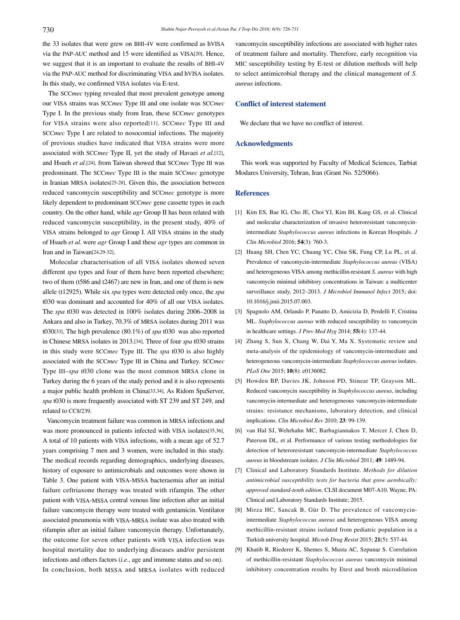the 33 isolates that were grew on BHI-4V were confirmed as hVISA via the PAP-AUC method and 15 were identified as VISA[20]. Hence, we suggest that it is an important to evaluate the results of BHI-4V via the PAP-AUC method for discriminating VISA and hVISA isolates. In this study, we confirmed VISA isolates via E-test.

 The SCC*mec* typing revealed that most prevalent genotype among our VISA strains was SCC*mec* Type III and one isolate was SCC*mec* Type I. In the previous study from Iran, these SCC*mec* genotypes for VISA strains were also reported[11]. SCC*mec* Type III and SCC*mec* Type I are related to nosocomial infections. The majority of previous studies have indicated that VISA strains were more associated with SCC*mec* Type II, yet the study of Havaei *et al*.[12], and Hsueh *et al*.[24], from Taiwan showed that SCC*mec* Type III was predominant. The SCC*mec* Type III is the main SCC*mec* genotype in Iranian MRSA isolates[25-28]. Given this, the association between reduced vancomycin susceptibility and SCC*mec* genotype is more likely dependent to predominant SCC*mec* gene cassette types in each country. On the other hand, while *agr* Group II has been related with reduced vancomycin susceptibility, in the present study, 40% of VISA strains belonged to *agr* Group I. All VISA strains in the study of Hsueh *et al*. were *agr* Group I and these *agr* types are common in Iran and in Taiwan[24,29-32].

 Molecular characterisation of all VISA isolates showed seven different *spa* types and four of them have been reported elsewhere; two of them (t586 and t2467) are new in Iran, and one of them is new allele (t12925). While six *spa* types were detected only once, the *spa* t030 was dominant and accounted for 40% of all our VISA isolates. The *spa* t030 was detected in 100% isolates during 2006–2008 in Ankara and also in Turkey, 70.3% of MRSA isolates during 2011 was t030[33]. The high prevalence (80.1%) of *spa* t030 was also reported in Chinese MRSA isolates in 2013.[34]. Three of four *spa* t030 strains in this study were SCC*mec* Type III. The *spa* t030 is also highly associated with the SCC*mec* Type III in China and Turkey. SCC*mec* Type III–*spa* t030 clone was the most common MRSA clone in Turkey during the 6 years of the study period and it is also represents a major public health problem in China[33,34]. As Ridom SpaServer, *spa* t030 is more frequently associated with ST 239 and ST 249, and related to CC8/239.

 Vancomycin treatment failure was common in MRSA infections and was more pronounced in patients infected with VISA isolates[35,36]. A total of 10 patients with VISA infections, with a mean age of 52.7 years comprising 7 men and 3 women, were included in this study. The medical records regarding demographics, underlying diseases, history of exposure to antimicrobials and outcomes were shown in Table 3. One patient with VISA-MSSA bacteraemia after an initial failure ceftriaxone therapy was treated with rifampin. The other patient with VISA-MSSA central venous line infection after an initial failure vancomycin therapy were treated with gentamicin. Ventilator associated pneumonia with VISA-MRSA isolate was also treated with rifampin after an initial failure vancomycin therapy. Unfortunately, the outcome for seven other patients with VISA infection was hospital mortality due to underlying diseases and/or persistent infections and others factors (*i.e.*, age and immune status and so on). In conclusion, both MSSA and MRSA isolates with reduced

vancomycin susceptibility infections are associated with higher rates of treatment failure and mortality. Therefore, early recognition via MIC susceptibility testing by E-test or dilution methods will help to select antimicrobial therapy and the clinical management of *S. aureus* infections.

## **Conflict of interest statement**

We declare that we have no conflict of interest.

#### **Acknowledgments**

 This work was supported by Faculty of Medical Sciences, Tarbiat Modares University, Tehran, Iran (Grant No. 52/5066).

#### **References**

- [1] Kim ES, Bae IG, Cho JE, Choi YJ, Kim IH, Kang GS, et al. Clinical and molecular characterization of invasive heteroresistant vancomycinintermediate *Staphylococcus aureus* infections in Korean Hospitals. *J Clin Microbiol* 2016; **54**(3): 760-3.
- [2] Huang SH, Chen YC, Chuang YC, Chiu SK, Fung CP, Lu PL, et al. Prevalence of vancomycin-intermediate *Staphylococcus aureus* (VISA) and heterogeneous VISA among methicillin-resistant *S. aureus* with high vancomycin minimal inhibitory concentrations in Taiwan: a multicenter surveillance study, 2012–2013. *J Microbiol Immunol Infect* 2015; doi: 10.1016/j.jmii.2015.07.003.
- [3] Spagnolo AM, Orlando P, Panatto D, Amicizia D, Perdelli F, Cristina ML. *Staphylococcus aureus* with reduced susceptibility to vancomycin in healthcare settings. *J Prev Med Hyg* 2014; **55**(4): 137-44.
- [4] Zhang S, Sun X, Chang W, Dai Y, Ma X. Systematic review and meta-analysis of the epidemiology of vancomycin-intermediate and heterogeneous vancomycin-intermediate *Staphylococcus aureus* isolates. *PLoS One* 2015; **10**(8): e0136082.
- [5] Howden BP, Davies JK, Johnson PD, Stinear TP, Grayson ML. Reduced vancomycin susceptibility in *Staphylococcus aureus*, including vancomycin-intermediate and heterogeneous vancomycin-intermediate strains: resistance mechanisms, laboratory detection, and clinical implications. *Clin Microbiol Rev* 2010; **23**: 99-139.
- [6] van Hal SJ, Wehrhahn MC, Barbagiannakos T, Mercer J, Chen D, Paterson DL, et al. Performance of various testing methodologies for detection of heteroresistant vancomycin-intermediate *Staphylococcus aureus* in bloodstream isolates. *J Clin Microbiol* 2011; **49**: 1489-94.
- [7] Clinical and Laboratory Standards Institute. *Methods for dilution antimicrobial susceptibility tests for bacteria that grow aerobically; approved standard-tenth edition*. CLSI document M07-A10. Wayne, PA: Clinical and Laboratory Standards Institute; 2015.
- [8] Mirza HC, Sancak B, Gür D. The prevalence of vancomycinintermediate *Staphylococcus aureus* and heterogeneous VISA among methicillin-resistant strains isolated from pediatric population in a Turkish university hospital. *Microb Drug Resist* 2015; **21**(5): 537-44.
- [9] Khatib R, Riederer K, Shemes S, Musta AC, Szpunar S. Correlation of methicillin-resistant *Staphylococcus aureus* vancomycin minimal inhibitory concentration results by Etest and broth microdilution